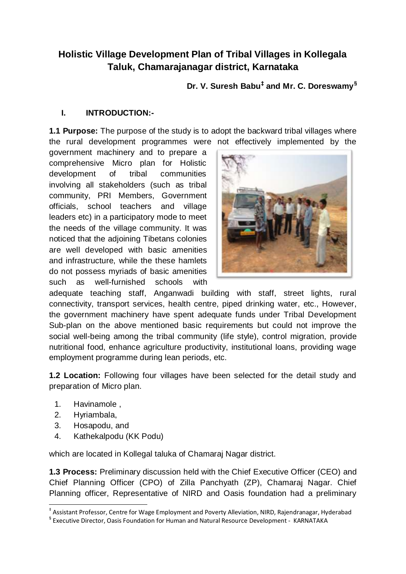# **Holistic Village Development Plan of Tribal Villages in Kollegala Taluk, Chamarajanagar district, Karnataka**

**Dr. V. Suresh Babu‡ and Mr. C. Doreswamy§**

## **I. INTRODUCTION:-**

**1.1 Purpose:** The purpose of the study is to adopt the backward tribal villages where the rural development programmes were not effectively implemented by the

government machinery and to prepare a comprehensive Micro plan for Holistic development of tribal communities involving all stakeholders (such as tribal community, PRI Members, Government officials, school teachers and village leaders etc) in a participatory mode to meet the needs of the village community. It was noticed that the adjoining Tibetans colonies are well developed with basic amenities and infrastructure, while the these hamlets do not possess myriads of basic amenities such as well-furnished schools with



adequate teaching staff, Anganwadi building with staff, street lights, rural connectivity, transport services, health centre, piped drinking water, etc., However, the government machinery have spent adequate funds under Tribal Development Sub-plan on the above mentioned basic requirements but could not improve the social well-being among the tribal community (life style), control migration, provide nutritional food, enhance agriculture productivity, institutional loans, providing wage employment programme during lean periods, etc.

**1.2 Location:** Following four villages have been selected for the detail study and preparation of Micro plan.

- 1. Havinamole ,
- 2. Hyriambala,
- 3. Hosapodu, and
- 4. Kathekalpodu (KK Podu)

which are located in Kollegal taluka of Chamaraj Nagar district.

**1.3 Process:** Preliminary discussion held with the Chief Executive Officer (CEO) and Chief Planning Officer (CPO) of Zilla Panchyath (ZP), Chamaraj Nagar. Chief Planning officer, Representative of NIRD and Oasis foundation had a preliminary

<sup>1</sup> ‡ Assistant Professor, Centre for Wage Employment and Poverty Alleviation, NIRD, Rajendranagar, Hyderabad

<sup>§</sup> Executive Director, Oasis Foundation for Human and Natural Resource Development - KARNATAKA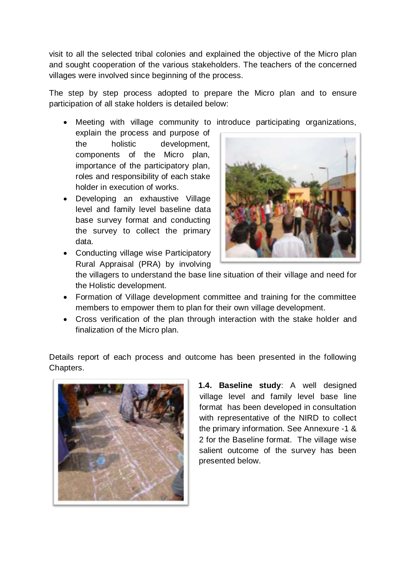visit to all the selected tribal colonies and explained the objective of the Micro plan and sought cooperation of the various stakeholders. The teachers of the concerned villages were involved since beginning of the process.

The step by step process adopted to prepare the Micro plan and to ensure participation of all stake holders is detailed below:

- Meeting with village community to introduce participating organizations,
- explain the process and purpose of the holistic development, components of the Micro plan, importance of the participatory plan, roles and responsibility of each stake holder in execution of works.
- Developing an exhaustive Village level and family level baseline data base survey format and conducting the survey to collect the primary data.
- 
- Conducting village wise Participatory Rural Appraisal (PRA) by involving

the villagers to understand the base line situation of their village and need for the Holistic development.

- Formation of Village development committee and training for the committee members to empower them to plan for their own village development.
- Cross verification of the plan through interaction with the stake holder and finalization of the Micro plan.

Details report of each process and outcome has been presented in the following Chapters.



**1.4. Baseline study**: A well designed village level and family level base line format has been developed in consultation with representative of the NIRD to collect the primary information. See Annexure -1 & 2 for the Baseline format. The village wise salient outcome of the survey has been presented below.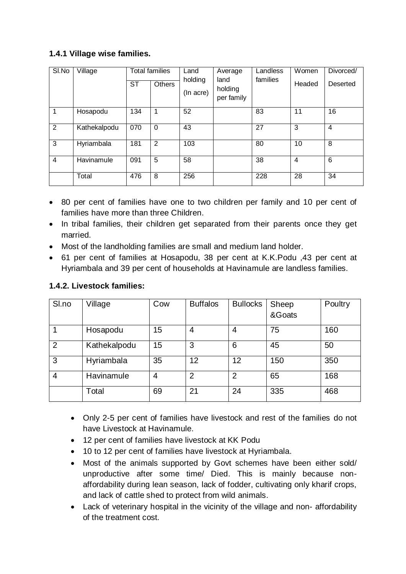# **1.4.1 Village wise families.**

| SI.No | Village      | <b>ST</b> | <b>Total families</b><br><b>Others</b> | Land<br>holding<br>(In acre) | Average<br>land<br>holding<br>per family | Landless<br>families | Women<br>Headed | Divorced/<br>Deserted |
|-------|--------------|-----------|----------------------------------------|------------------------------|------------------------------------------|----------------------|-----------------|-----------------------|
|       | Hosapodu     | 134       | 1                                      | 52                           |                                          | 83                   | 11              | 16                    |
| 2     | Kathekalpodu | 070       | $\Omega$                               | 43                           |                                          | 27                   | 3               | $\overline{4}$        |
| 3     | Hyriambala   | 181       | 2                                      | 103                          |                                          | 80                   | 10              | 8                     |
| 4     | Havinamule   | 091       | 5                                      | 58                           |                                          | 38                   | 4               | 6                     |
|       | Total        | 476       | 8                                      | 256                          |                                          | 228                  | 28              | 34                    |

- 80 per cent of families have one to two children per family and 10 per cent of families have more than three Children.
- In tribal families, their children get separated from their parents once they get married.
- Most of the landholding families are small and medium land holder.
- 61 per cent of families at Hosapodu, 38 per cent at K.K.Podu ,43 per cent at Hyriambala and 39 per cent of households at Havinamule are landless families.

| Sl.no          | Village      | Cow | <b>Buffalos</b> | <b>Bullocks</b> | Sheep<br>&Goats | Poultry |
|----------------|--------------|-----|-----------------|-----------------|-----------------|---------|
|                | Hosapodu     | 15  | 4               | 4               | 75              | 160     |
| $\overline{2}$ | Kathekalpodu | 15  | 3               | 6               | 45              | 50      |
| 3              | Hyriambala   | 35  | 12              | 12              | 150             | 350     |
| $\overline{4}$ | Havinamule   | 4   | $\overline{2}$  | $\overline{2}$  | 65              | 168     |
|                | Total        | 69  | 21              | 24              | 335             | 468     |

- Only 2-5 per cent of families have livestock and rest of the families do not have Livestock at Havinamule.
- 12 per cent of families have livestock at KK Podu
- 10 to 12 per cent of families have livestock at Hyriambala.
- Most of the animals supported by Govt schemes have been either sold/ unproductive after some time/ Died. This is mainly because nonaffordability during lean season, lack of fodder, cultivating only kharif crops, and lack of cattle shed to protect from wild animals.
- Lack of veterinary hospital in the vicinity of the village and non- affordability of the treatment cost.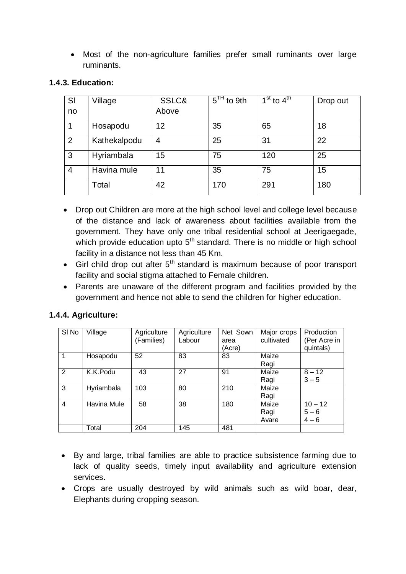Most of the non-agriculture families prefer small ruminants over large ruminants.

| SI             | Village      | SSLC& | $5TH$ to 9th | $1st$ to $4th$ | Drop out |
|----------------|--------------|-------|--------------|----------------|----------|
| no             |              | Above |              |                |          |
|                | Hosapodu     | 12    | 35           | 65             | 18       |
| $\overline{2}$ | Kathekalpodu | 4     | 25           | 31             | 22       |
| 3              | Hyriambala   | 15    | 75           | 120            | 25       |
| $\overline{4}$ | Havina mule  | 11    | 35           | 75             | 15       |
|                | Total        | 42    | 170          | 291            | 180      |

#### **1.4.3. Education:**

- Drop out Children are more at the high school level and college level because of the distance and lack of awareness about facilities available from the government. They have only one tribal residential school at Jeerigaegade, which provide education upto  $5<sup>th</sup>$  standard. There is no middle or high school facility in a distance not less than 45 Km.
- Girl child drop out after  $5<sup>th</sup>$  standard is maximum because of poor transport facility and social stigma attached to Female children.
- Parents are unaware of the different program and facilities provided by the government and hence not able to send the children for higher education.

#### **1.4.4. Agriculture:**

| SI No          | Village     | Agriculture<br>(Families) | Agriculture<br>Labour | Net Sown<br>area<br>(Acre) | Major crops<br>cultivated | Production<br>(Per Acre in<br>quintals) |
|----------------|-------------|---------------------------|-----------------------|----------------------------|---------------------------|-----------------------------------------|
|                | Hosapodu    | 52                        | 83                    | 83                         | Maize<br>Ragi             |                                         |
| 2              | K.K.Podu    | 43                        | 27                    | 91                         | Maize<br>Ragi             | $8 - 12$<br>$3 - 5$                     |
| 3              | Hyriambala  | 103                       | 80                    | 210                        | Maize<br>Ragi             |                                         |
| $\overline{4}$ | Havina Mule | 58                        | 38                    | 180                        | Maize<br>Ragi<br>Avare    | $10 - 12$<br>$5 - 6$<br>$4 - 6$         |
|                | Total       | 204                       | 145                   | 481                        |                           |                                         |

- By and large, tribal families are able to practice subsistence farming due to lack of quality seeds, timely input availability and agriculture extension services.
- Crops are usually destroyed by wild animals such as wild boar, dear, Elephants during cropping season.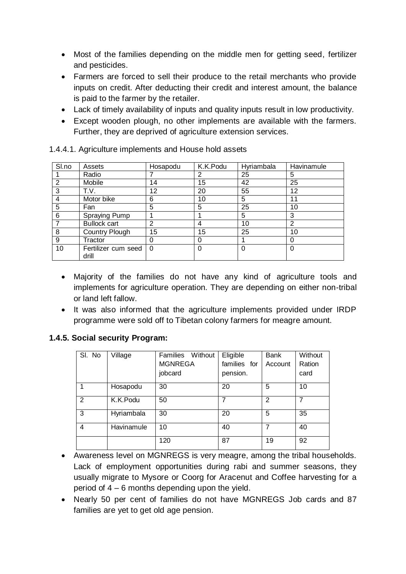- Most of the families depending on the middle men for getting seed, fertilizer and pesticides.
- Farmers are forced to sell their produce to the retail merchants who provide inputs on credit. After deducting their credit and interest amount, the balance is paid to the farmer by the retailer.
- Lack of timely availability of inputs and quality inputs result in low productivity.
- Except wooden plough, no other implements are available with the farmers. Further, they are deprived of agriculture extension services.

| SI.no | Assets                | Hosapodu | K.K.Podu | Hyriambala | Havinamule |
|-------|-----------------------|----------|----------|------------|------------|
|       | Radio                 |          | 2        | 25         | 5          |
| 2     | Mobile                | 14       | 15       | 42         | 25         |
| 3     | T.V.                  | 12       | 20       | 55         | 12         |
| 4     | Motor bike            | 6        | 10       | 5          | 11         |
| 5     | Fan                   | 5        | 5        | 25         | 10         |
| 6     | Spraying Pump         |          |          | 5          | 3          |
| 7     | <b>Bullock cart</b>   | 2        | 4        | 10         | ົ          |
| 8     | <b>Country Plough</b> | 15       | 15       | 25         | 10         |
| 9     | Tractor               |          | 0        |            |            |
| 10    | Fertilizer cum seed   | 0        | $\Omega$ | 0          |            |
|       | drill                 |          |          |            |            |

1.4.4.1. Agriculture implements and House hold assets

- Majority of the families do not have any kind of agriculture tools and implements for agriculture operation. They are depending on either non-tribal or land left fallow.
- It was also informed that the agriculture implements provided under IRDP programme were sold off to Tibetan colony farmers for meagre amount.

#### **1.4.5. Social security Program:**

| SI. No | Village    | Families Without | Eligible     | Bank    | Without        |
|--------|------------|------------------|--------------|---------|----------------|
|        |            | <b>MGNREGA</b>   | families for | Account | Ration         |
|        |            | jobcard          | pension.     |         | card           |
| 1      | Hosapodu   | 30               | 20           | 5       | 10             |
| 2      | K.K.Podu   | 50               | 7            | 2       | $\overline{7}$ |
| 3      | Hyriambala | 30               | 20           | 5       | 35             |
| 4      | Havinamule | 10               | 40           | 7       | 40             |
|        |            | 120              | 87           | 19      | 92             |

- Awareness level on MGNREGS is very meagre, among the tribal households. Lack of employment opportunities during rabi and summer seasons, they usually migrate to Mysore or Coorg for Aracenut and Coffee harvesting for a period of 4 – 6 months depending upon the yield.
- Nearly 50 per cent of families do not have MGNREGS Job cards and 87 families are yet to get old age pension.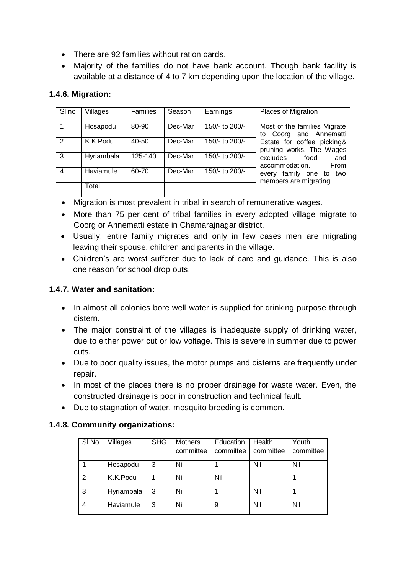- There are 92 families without ration cards.
- Majority of the families do not have bank account. Though bank facility is available at a distance of 4 to 7 km depending upon the location of the village.

## **1.4.6. Migration:**

| SI.no         | Villages   | <b>Families</b> | Season  | Earnings         | <b>Places of Migration</b>                              |
|---------------|------------|-----------------|---------|------------------|---------------------------------------------------------|
|               | Hosapodu   | 80-90           | Dec-Mar | 150/- to $200/-$ | Most of the families Migrate<br>to Coorg and Annematti  |
| $\mathcal{P}$ | K.K.Podu   | 40-50           | Dec-Mar | 150/- to 200/-   | Estate for coffee picking&<br>pruning works. The Wages  |
| 3             | Hyriambala | 125-140         | Dec-Mar | 150/- to 200/-   | excludes<br>food<br>and<br>From<br>accommodation.       |
| 4             | Haviamule  | 60-70           | Dec-Mar | 150/- to 200/-   | family one to<br>two<br>every<br>members are migrating. |
|               | Total      |                 |         |                  |                                                         |

- Migration is most prevalent in tribal in search of remunerative wages.
- More than 75 per cent of tribal families in every adopted village migrate to Coorg or Annematti estate in Chamarajnagar district.
- Usually, entire family migrates and only in few cases men are migrating leaving their spouse, children and parents in the village.
- Children's are worst sufferer due to lack of care and guidance. This is also one reason for school drop outs.

### **1.4.7. Water and sanitation:**

- In almost all colonies bore well water is supplied for drinking purpose through cistern.
- The major constraint of the villages is inadequate supply of drinking water, due to either power cut or low voltage. This is severe in summer due to power cuts.
- Due to poor quality issues, the motor pumps and cisterns are frequently under repair.
- In most of the places there is no proper drainage for waste water. Even, the constructed drainage is poor in construction and technical fault.
- Due to stagnation of water, mosquito breeding is common.

#### **1.4.8. Community organizations:**

| SI.No | Villages   | <b>SHG</b> | <b>Mothers</b> | Education | Health    | Youth     |
|-------|------------|------------|----------------|-----------|-----------|-----------|
|       |            |            | committee      | committee | committee | committee |
|       | Hosapodu   | 3          | Nil            |           | Nil       | Nil       |
| 2     | K.K.Podu   | 1          | Nil            | Nil       |           |           |
| 3     | Hyriambala | 3          | Nil            |           | Nil       |           |
| 4     | Haviamule  | 3          | Nil            | 9         | Nil       | Nil       |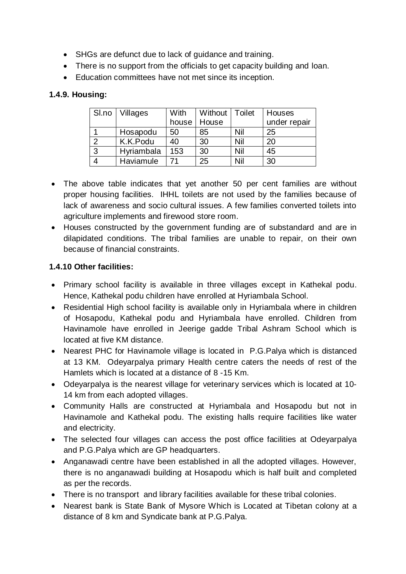- SHGs are defunct due to lack of guidance and training.
- There is no support from the officials to get capacity building and loan.
- Education committees have not met since its inception.

## **1.4.9. Housing:**

| Sl.no | <b>Villages</b> | <b>With</b> | Without | Toilet | Houses       |
|-------|-----------------|-------------|---------|--------|--------------|
|       |                 | house       | House   |        | under repair |
|       | Hosapodu        | 50          | 85      | Nil    | 25           |
|       | K.K.Podu        | 40          | 30      | Nil    | 20           |
| 3     | Hyriambala      | 153         | 30      | Nil    | 45           |
|       | Haviamule       |             | 25      | Nil    | 30           |

- The above table indicates that yet another 50 per cent families are without proper housing facilities. IHHL toilets are not used by the families because of lack of awareness and socio cultural issues. A few families converted toilets into agriculture implements and firewood store room.
- Houses constructed by the government funding are of substandard and are in dilapidated conditions. The tribal families are unable to repair, on their own because of financial constraints.

# **1.4.10 Other facilities:**

- Primary school facility is available in three villages except in Kathekal podu. Hence, Kathekal podu children have enrolled at Hyriambala School.
- Residential High school facility is available only in Hyriambala where in children of Hosapodu, Kathekal podu and Hyriambala have enrolled. Children from Havinamole have enrolled in Jeerige gadde Tribal Ashram School which is located at five KM distance.
- Nearest PHC for Havinamole village is located in P.G.Palya which is distanced at 13 KM. Odeyarpalya primary Health centre caters the needs of rest of the Hamlets which is located at a distance of 8 -15 Km.
- Odeyarpalya is the nearest village for veterinary services which is located at 10- 14 km from each adopted villages.
- Community Halls are constructed at Hyriambala and Hosapodu but not in Havinamole and Kathekal podu. The existing halls require facilities like water and electricity.
- The selected four villages can access the post office facilities at Odeyarpalya and P.G.Palya which are GP headquarters.
- Anganawadi centre have been established in all the adopted villages. However, there is no anganawadi building at Hosapodu which is half built and completed as per the records.
- There is no transport and library facilities available for these tribal colonies.
- Nearest bank is State Bank of Mysore Which is Located at Tibetan colony at a distance of 8 km and Syndicate bank at P.G.Palya.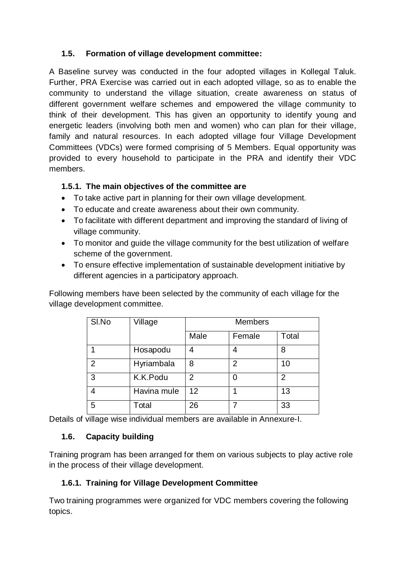# **1.5. Formation of village development committee:**

A Baseline survey was conducted in the four adopted villages in Kollegal Taluk. Further, PRA Exercise was carried out in each adopted village, so as to enable the community to understand the village situation, create awareness on status of different government welfare schemes and empowered the village community to think of their development. This has given an opportunity to identify young and energetic leaders (involving both men and women) who can plan for their village, family and natural resources. In each adopted village four Village Development Committees (VDCs) were formed comprising of 5 Members. Equal opportunity was provided to every household to participate in the PRA and identify their VDC members.

## **1.5.1. The main objectives of the committee are**

- To take active part in planning for their own village development.
- To educate and create awareness about their own community.
- To facilitate with different department and improving the standard of living of village community.
- To monitor and guide the village community for the best utilization of welfare scheme of the government.
- To ensure effective implementation of sustainable development initiative by different agencies in a participatory approach.

Following members have been selected by the community of each village for the village development committee.

| SI.No          | Village     | <b>Members</b> |        |                |  |  |
|----------------|-------------|----------------|--------|----------------|--|--|
|                |             | Male           | Female | Total          |  |  |
| 1              | Hosapodu    | 4              | Δ      | 8              |  |  |
| $\overline{2}$ | Hyriambala  | 8              | 2      | 10             |  |  |
| 3              | K.K.Podu    | 2              | 0      | $\overline{2}$ |  |  |
| 4              | Havina mule | 12             |        | 13             |  |  |
| 5              | Total       | 26             |        | 33             |  |  |

Details of village wise individual members are available in Annexure-I.

# **1.6. Capacity building**

Training program has been arranged for them on various subjects to play active role in the process of their village development.

# **1.6.1. Training for Village Development Committee**

Two training programmes were organized for VDC members covering the following topics.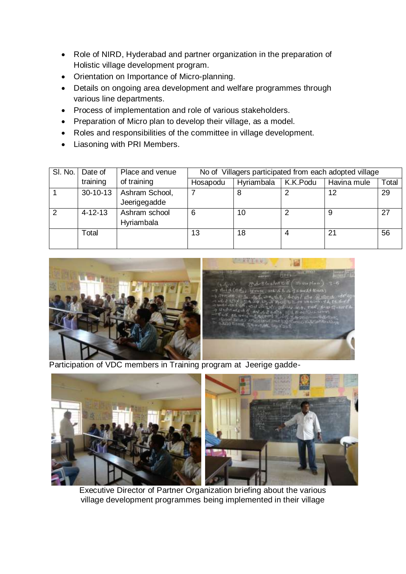- Role of NIRD, Hyderabad and partner organization in the preparation of Holistic village development program.
- Orientation on Importance of Micro-planning.
- Details on ongoing area development and welfare programmes through various line departments.
- Process of implementation and role of various stakeholders.
- Preparation of Micro plan to develop their village, as a model.
- Roles and responsibilities of the committee in village development.
- Liasoning with PRI Members.

| SI. No.        | Date of       | Place and venue                | No of Villagers participated from each adopted village |            |          |             |       |  |
|----------------|---------------|--------------------------------|--------------------------------------------------------|------------|----------|-------------|-------|--|
|                | training      | of training                    | Hosapodu                                               | Hyriambala | K.K.Podu | Havina mule | Total |  |
|                | $30-10-13$    | Ashram School,<br>Jeerigegadde |                                                        | 8          | 2        | 12          | 29    |  |
| $\overline{2}$ | $4 - 12 - 13$ | Ashram school<br>Hyriambala    | 6                                                      | 10         | 2        | 9           | 27    |  |
|                | Total         |                                | 13                                                     | 18         | 4        | 21          | 56    |  |



Participation of VDC members in Training program at Jeerige gadde-



Executive Director of Partner Organization briefing about the various village development programmes being implemented in their village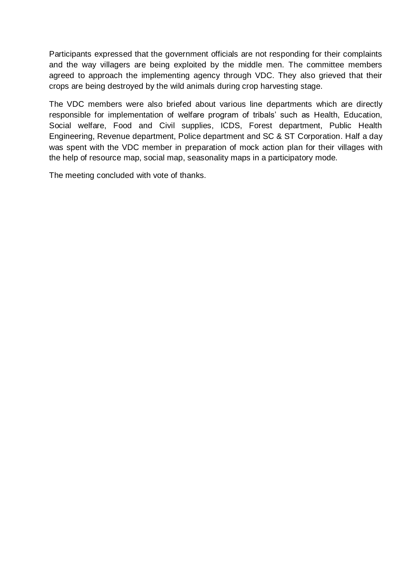Participants expressed that the government officials are not responding for their complaints and the way villagers are being exploited by the middle men. The committee members agreed to approach the implementing agency through VDC. They also grieved that their crops are being destroyed by the wild animals during crop harvesting stage.

The VDC members were also briefed about various line departments which are directly responsible for implementation of welfare program of tribals' such as Health, Education, Social welfare, Food and Civil supplies, ICDS, Forest department, Public Health Engineering, Revenue department, Police department and SC & ST Corporation. Half a day was spent with the VDC member in preparation of mock action plan for their villages with the help of resource map, social map, seasonality maps in a participatory mode.

The meeting concluded with vote of thanks.